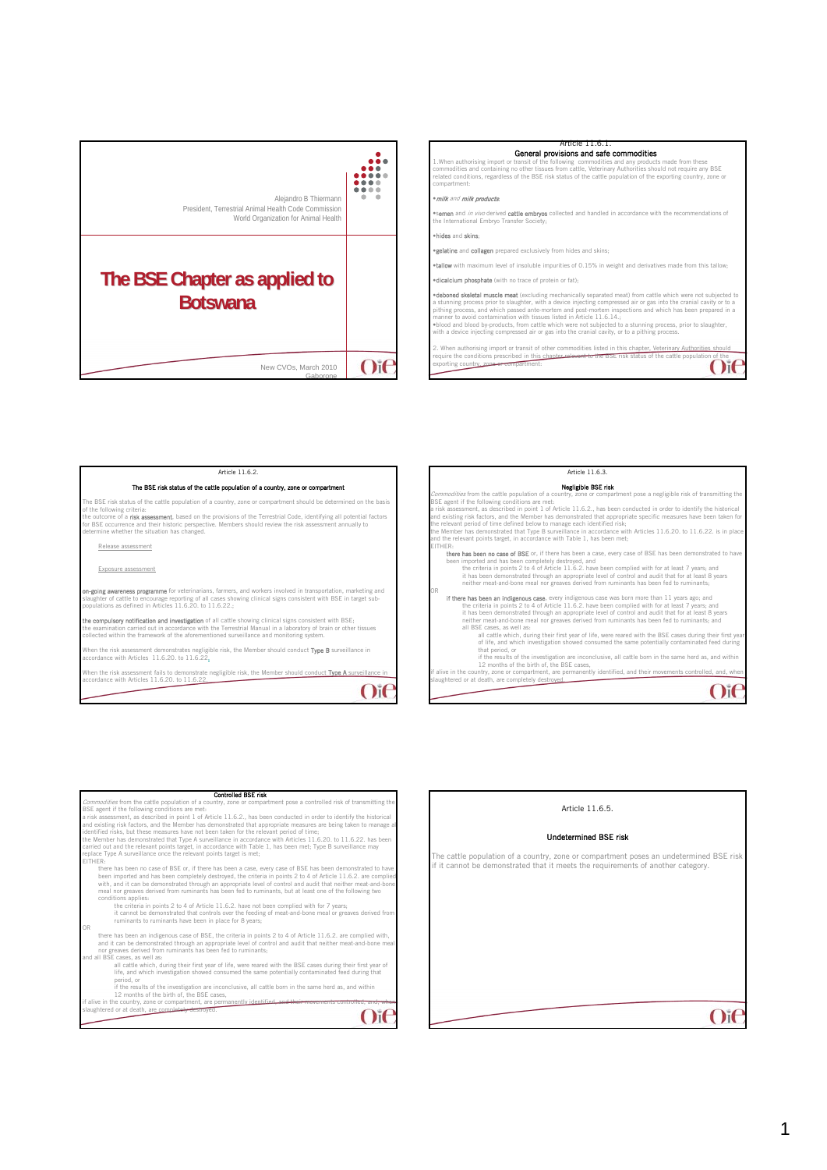



1.When authorising import or transit of the following commodities and any products made from these commodities and containing no other tissues from cattle, Veterinary Authorities should not require any BSE related conditions, regardless of the BSE risk status of the cattle population of the exporting country, zone or compartment:

### •milk and milk products;

\*semen and *in vivo* derived cattle embryos collected and handled in accordance with the recommendations of<br>the International Embryo Transfer Society;

#### •hides and skins;

•gelatine and collagen prepared exclusively from hides and skins;

tallow with maximum level of insoluble impurities of 0.15% in weight and derivatives made from this tall

•dicalcium phosphate (with no trace of protein or fat);

**•deboned skeletal muscle meat** (excluding mechanically separated meat) from cattle which were not subjected to<br>a stunning process prior to slaughter, with a device injecting compressed air or gas into the cranial cavity o pithing process, and which passed ante-mortem and post-mortem inspections and which has been prepared in a<br>manner to avoid contamination with tissues listed in Article 11.6.14.;<br>\*blood and blood by-products, from cattle wh

 $O$ i $\epsilon$ 

2. When authorising import or transit of other commodities listed in this chapter. Veterinary Authorities should<br>require the conditions prescribed in this chapter relevant to the BSE risk status of the cattle population of xporting country, zone

#### $O<sub>i</sub>$ Article 11.6.2. The BSE risk status of the cattle population of a country, zone or compar he BSE risk status of the cattle population of a country, zone or compartment should be determined on the basis of the following criteria:<br>the outcome of a **risk assessment**, based on the provisions of the Terrestrial Code, identifying all potential factors<br>for BSE cocurrence and their historic perspective. Members should review the Release assessment Exposure assessment **on-going awareness programme** for veterinarians, farmers, and workers involved in transportation, marketing and<br>slaughter of cattle to encourage reporting of all cases showing clinical signs consistent with BSE in target **the compulsory notification and investigation** of all cattle showing clinical signs consistent with BSE;<br>the examination carried out in accordance with the Terrestrial Manual in a laboratory of brain or other tissues<br>coll hen the risk assessment demonstrates negligible risk, the Member should conduct **Type B** surveillance in accordance with Articles 11.6.20. to 11.6.22. When the risk assessment fails to demonstrate negligible risk, the Member should conduct **Type A** surveillance in<br>accordance with Articles 11.6.20. to 11.6.22.  $O<sub>i</sub>$ Article 11.6.3. Negligible BSE risk Commodities from the cattle population of a country, zone or compartment pose a negligible risk of transmitting the Commodities from the cattle population of a consistent if the following conditions are metric risk assessment a risk assessment, as described in point 1 of Article 11.6.2., has been conducted in order to identify the historical<br>and existing risk factors, and the Member has demonstrated that appropriate specific measures have been d the relevant points target, in accordance with Table 1, has been met; EITHER:<br>
There **has been no case of BSE** or, if there has been a case, every case of BSE has been demonstrated to have<br>
been imported and has been compled with for at least 7 years; and<br>
the criteria in points 2 to 4 of A OR **If there has been an Indigenous case,** every indigenous case was born more than 11 years ago, and<br>the criteria in points 2 to 4 of Article 11.6.2. have been compiled with for at least 7 years; and<br>it has been demonstrate slaughtered or at death, are on the winting and the country, zone or compartment, are permanently identified, and their mover<br>aughtered or at death, are completely destroyed.

| <b>Controlled BSE risk</b>                                                                                                                                                           |
|--------------------------------------------------------------------------------------------------------------------------------------------------------------------------------------|
| Commodities from the cattle population of a country, zone or compartment pose a controlled risk of transmitting the                                                                  |
| BSE agent if the following conditions are met:                                                                                                                                       |
| a risk assessment, as described in point 1 of Article 11.6.2., has been conducted in order to identify the historical                                                                |
| and existing risk factors, and the Member has demonstrated that appropriate measures are being taken to manage al                                                                    |
| identified risks, but these measures have not been taken for the relevant period of time;                                                                                            |
| the Member has demonstrated that Type A surveillance in accordance with Articles 11.6.20, to 11.6.22, has been                                                                       |
| carried out and the relevant points target, in accordance with Table 1, has been met: Type B surveillance may<br>replace Type A surveillance once the relevant points target is met: |
| FITHER-                                                                                                                                                                              |
| there has been no case of BSE or, if there has been a case, every case of BSE has been demonstrated to have                                                                          |
| been imported and has been completely destroved, the criteria in points 2 to 4 of Article 11.6.2, are complied                                                                       |
| with, and it can be demonstrated through an appropriate level of control and audit that neither meat-and-bone                                                                        |
| meal nor greaves derived from ruminants has been fed to ruminants, but at least one of the following two                                                                             |
| conditions applies:                                                                                                                                                                  |
| the criteria in points 2 to 4 of Article 11.6.2. have not been complied with for 7 years;                                                                                            |
| it cannot be demonstrated that controls over the feeding of meat-and-bone meal or greaves derived from                                                                               |
| ruminants to ruminants have been in place for 8 years;                                                                                                                               |
| OR                                                                                                                                                                                   |
| there has been an indigenous case of BSE, the criteria in points 2 to 4 of Article 11.6.2, are complied with.                                                                        |
| and it can be demonstrated through an appropriate level of control and audit that neither meat-and-bone meal                                                                         |
| nor greaves derived from ruminants has been fed to ruminants;<br>and all BSE cases, as well as:                                                                                      |
| all cattle which, during their first year of life, were reared with the BSE cases during their first year of                                                                         |
| life, and which investigation showed consumed the same potentially contaminated feed during that                                                                                     |
| period, or                                                                                                                                                                           |
| if the results of the investigation are inconclusive, all cattle born in the same herd as, and within                                                                                |
| 12 months of the birth of, the BSE cases.                                                                                                                                            |
| if alive in the country, zone or compartment, are permanently identified, a<br><b>INTO THE COMMUNICATION</b>                                                                         |
| slaughtered or at death, are completely destroyed.                                                                                                                                   |
|                                                                                                                                                                                      |
|                                                                                                                                                                                      |

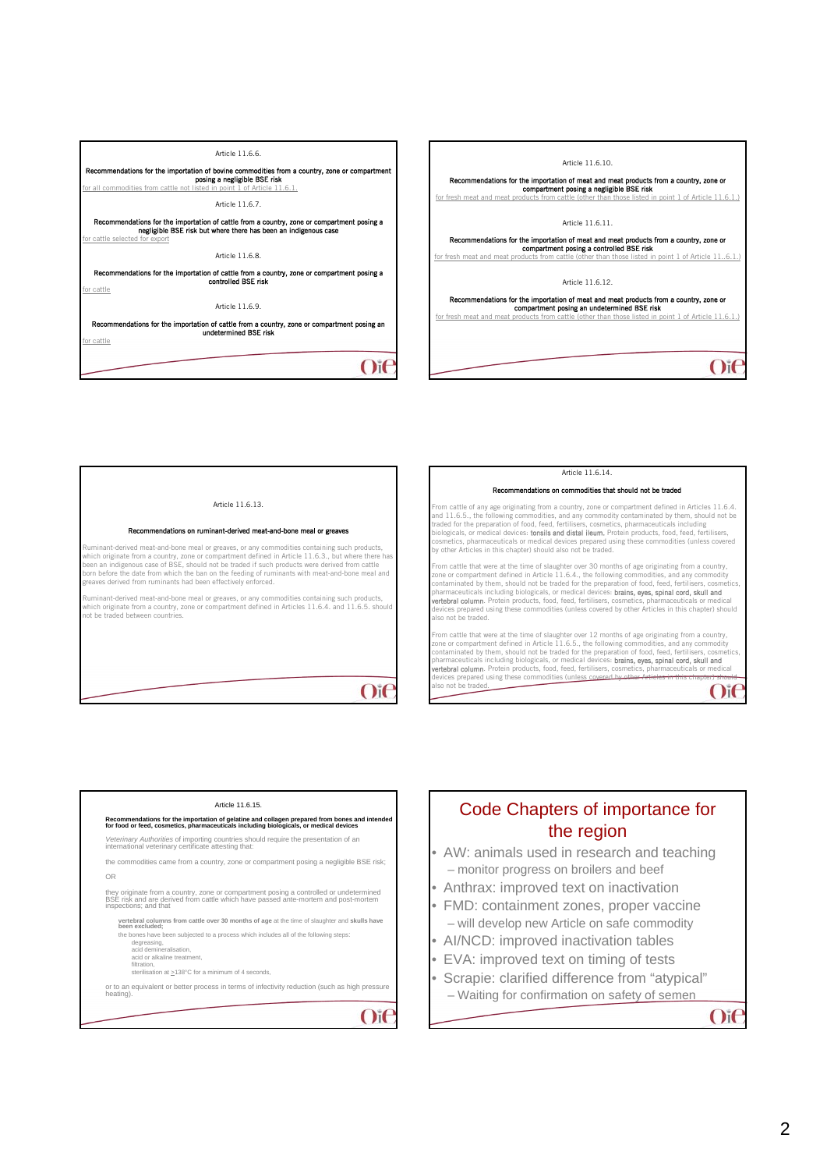

 $O$ i $C$ 

 $O$ if



### tions on ruminant-derived meat-and-bone meal or grea

Ruminant-derived meat-and-bone meal or greaves, or any commodities containing such products,<br>which originate from a country, zone or compartment defined in Article 11.6.3., but where there has<br>been an indigenous case of BS reaves derived from ruminants had been effectively enforced.

Ruminant-derived meat-and-bone meal or greaves, or any commodities containing such products, which originate from a country, zone or compartment defined in Articles 11.6.4. and 11.6.5. should which originate from a country, 2<br>not be traded between countries.

Article 11.6.14.

#### Recommendations on commodities that should not be traded

m cattle of any age originating from a country, zone or compartment defined in Articles 11.6.4. and 11.6.5., the following commodities, and any commodity contaminated by them, should not be<br>nd 11.6.5., the following commodities, and any commodity contaminated by them, should not be traded for the preparation of food, feed, fertilisers, cosmetics, pharmaceuticals including<br>biologicals, or medical devices: **tonsils and distal ileum.** Protein products, food, feed, fertilisers,<br>cosmetics, pharmaceuticals

From cattle that were at the time of slaughter over 30 months of age originating from a country, zone or compartment defined in Article 11.6.4., the following commodities, and any commodity<br>contaminated by them, should not be traded for the preparation of food, feed, fertilisers, cosmetics,<br>pharmaceuticals including b also not be traded.

 $O$ i $\epsilon$ From cattle that were at the time of slaughter over 12 months of age originating from a country,<br>zone or compartment defined in Article 11.6.5., the following commodities, and any commodity<br>contaminated by them, should not **vertebral column**. Protein products, food, feed, fertilisers, cosmetics, pharmaceuticals or medical<br>devices prepared using these commodities (unless covered <del>by other Articles in this chapter) should</del><br>also not be traded.

## Article 11.6.15.

# **Recommendations for the importation of gelatine and collagen prepared from bones and intended for food or feed, cosmetics, pharmaceuticals including biologicals, or medical devices**

*Veterinary Authorities* of importing countries should require the presentation of an international veterinary certificate attesting that:

the commodities came from a country, zone or compartment posing a negligible BSE risk; OR

they originate from a country, zone or compartment posing a controlled or undetermined BSE risk and are derived from cattle which have passed ante-mortem and post-mortem inspections; and that

vertebral columns from cattle over 30 months of age at the time of slaughter and skulls have<br>been excluded;<br>the bones have been subjected to a process which includes all of the following steps:<br>degreasing,<br>caid demineralis

- - acid or alkaline treatment.
	-

filtration, sterilisation at >138°C for a minimum of 4 seconds,

or to an equivalent or better process in terms of infectivity reduction (such as high pressure heating).

# Code Chapters of importance for the region

- AW: animals used in research and teaching – monitor progress on broilers and beef
- Anthrax: improved text on inactivation
- FMD: containment zones, proper vaccine – will develop new Article on safe commodity
- AI/NCD: improved inactivation tables
- EVA: improved text on timing of tests
- Scrapie: clarified difference from "atypical" – Waiting for confirmation on safety of semen

 $O$ if